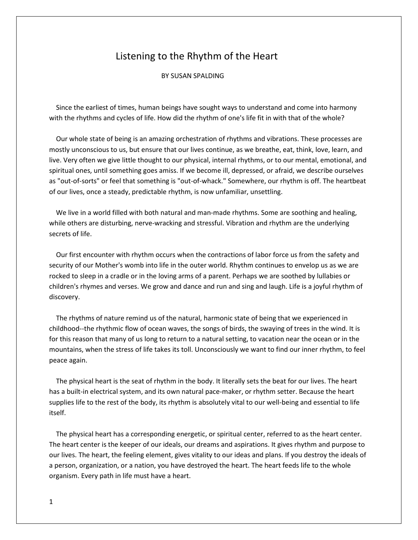## Listening to the Rhythm of the Heart

## BY SUSAN SPALDING

 Since the earliest of times, human beings have sought ways to understand and come into harmony with the rhythms and cycles of life. How did the rhythm of one's life fit in with that of the whole?

 Our whole state of being is an amazing orchestration of rhythms and vibrations. These processes are mostly unconscious to us, but ensure that our lives continue, as we breathe, eat, think, love, learn, and live. Very often we give little thought to our physical, internal rhythms, or to our mental, emotional, and spiritual ones, until something goes amiss. If we become ill, depressed, or afraid, we describe ourselves as "out-of-sorts" or feel that something is "out-of-whack." Somewhere, our rhythm is off. The heartbeat of our lives, once a steady, predictable rhythm, is now unfamiliar, unsettling.

 We live in a world filled with both natural and man-made rhythms. Some are soothing and healing, while others are disturbing, nerve-wracking and stressful. Vibration and rhythm are the underlying secrets of life.

 Our first encounter with rhythm occurs when the contractions of labor force us from the safety and security of our Mother's womb into life in the outer world. Rhythm continues to envelop us as we are rocked to sleep in a cradle or in the loving arms of a parent. Perhaps we are soothed by lullabies or children's rhymes and verses. We grow and dance and run and sing and laugh. Life is a joyful rhythm of discovery.

 The rhythms of nature remind us of the natural, harmonic state of being that we experienced in childhood--the rhythmic flow of ocean waves, the songs of birds, the swaying of trees in the wind. It is for this reason that many of us long to return to a natural setting, to vacation near the ocean or in the mountains, when the stress of life takes its toll. Unconsciously we want to find our inner rhythm, to feel peace again.

 The physical heart is the seat of rhythm in the body. It literally sets the beat for our lives. The heart has a built-in electrical system, and its own natural pace-maker, or rhythm setter. Because the heart supplies life to the rest of the body, its rhythm is absolutely vital to our well-being and essential to life itself.

 The physical heart has a corresponding energetic, or spiritual center, referred to as the heart center. The heart center is the keeper of our ideals, our dreams and aspirations. It gives rhythm and purpose to our lives. The heart, the feeling element, gives vitality to our ideas and plans. If you destroy the ideals of a person, organization, or a nation, you have destroyed the heart. The heart feeds life to the whole organism. Every path in life must have a heart.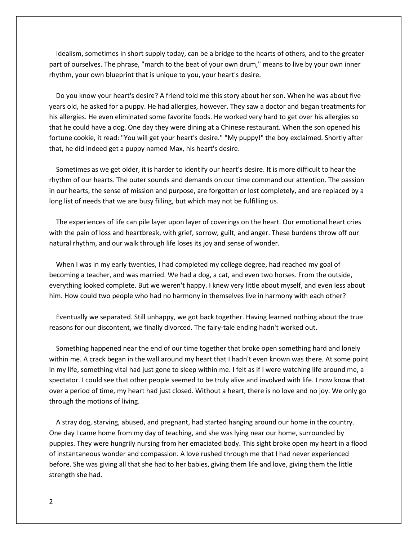Idealism, sometimes in short supply today, can be a bridge to the hearts of others, and to the greater part of ourselves. The phrase, "march to the beat of your own drum," means to live by your own inner rhythm, your own blueprint that is unique to you, your heart's desire.

 Do you know your heart's desire? A friend told me this story about her son. When he was about five years old, he asked for a puppy. He had allergies, however. They saw a doctor and began treatments for his allergies. He even eliminated some favorite foods. He worked very hard to get over his allergies so that he could have a dog. One day they were dining at a Chinese restaurant. When the son opened his fortune cookie, it read: "You will get your heart's desire." "My puppy!" the boy exclaimed. Shortly after that, he did indeed get a puppy named Max, his heart's desire.

 Sometimes as we get older, it is harder to identify our heart's desire. It is more difficult to hear the rhythm of our hearts. The outer sounds and demands on our time command our attention. The passion in our hearts, the sense of mission and purpose, are forgotten or lost completely, and are replaced by a long list of needs that we are busy filling, but which may not be fulfilling us.

 The experiences of life can pile layer upon layer of coverings on the heart. Our emotional heart cries with the pain of loss and heartbreak, with grief, sorrow, guilt, and anger. These burdens throw off our natural rhythm, and our walk through life loses its joy and sense of wonder.

 When I was in my early twenties, I had completed my college degree, had reached my goal of becoming a teacher, and was married. We had a dog, a cat, and even two horses. From the outside, everything looked complete. But we weren't happy. I knew very little about myself, and even less about him. How could two people who had no harmony in themselves live in harmony with each other?

 Eventually we separated. Still unhappy, we got back together. Having learned nothing about the true reasons for our discontent, we finally divorced. The fairy-tale ending hadn't worked out.

 Something happened near the end of our time together that broke open something hard and lonely within me. A crack began in the wall around my heart that I hadn't even known was there. At some point in my life, something vital had just gone to sleep within me. I felt as if I were watching life around me, a spectator. I could see that other people seemed to be truly alive and involved with life. I now know that over a period of time, my heart had just closed. Without a heart, there is no love and no joy. We only go through the motions of living.

 A stray dog, starving, abused, and pregnant, had started hanging around our home in the country. One day I came home from my day of teaching, and she was lying near our home, surrounded by puppies. They were hungrily nursing from her emaciated body. This sight broke open my heart in a flood of instantaneous wonder and compassion. A love rushed through me that I had never experienced before. She was giving all that she had to her babies, giving them life and love, giving them the little strength she had.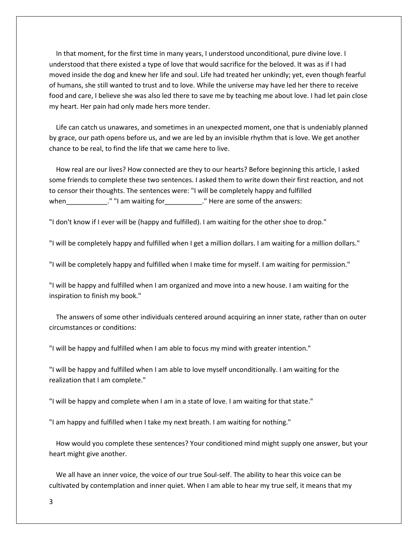In that moment, for the first time in many years, I understood unconditional, pure divine love. I understood that there existed a type of love that would sacrifice for the beloved. It was as if I had moved inside the dog and knew her life and soul. Life had treated her unkindly; yet, even though fearful of humans, she still wanted to trust and to love. While the universe may have led her there to receive food and care, I believe she was also led there to save me by teaching me about love. I had let pain close my heart. Her pain had only made hers more tender.

 Life can catch us unawares, and sometimes in an unexpected moment, one that is undeniably planned by grace, our path opens before us, and we are led by an invisible rhythm that is love. We get another chance to be real, to find the life that we came here to live.

 How real are our lives? How connected are they to our hearts? Before beginning this article, I asked some friends to complete these two sentences. I asked them to write down their first reaction, and not to censor their thoughts. The sentences were: "I will be completely happy and fulfilled when\_\_\_\_\_\_\_\_\_\_\_\_." "I am waiting for\_\_\_\_\_\_\_\_\_\_\_." Here are some of the answers:

"I don't know if I ever will be (happy and fulfilled). I am waiting for the other shoe to drop."

"I will be completely happy and fulfilled when I get a million dollars. I am waiting for a million dollars."

"I will be completely happy and fulfilled when I make time for myself. I am waiting for permission."

"I will be happy and fulfilled when I am organized and move into a new house. I am waiting for the inspiration to finish my book."

 The answers of some other individuals centered around acquiring an inner state, rather than on outer circumstances or conditions:

"I will be happy and fulfilled when I am able to focus my mind with greater intention."

"I will be happy and fulfilled when I am able to love myself unconditionally. I am waiting for the realization that I am complete."

"I will be happy and complete when I am in a state of love. I am waiting for that state."

"I am happy and fulfilled when I take my next breath. I am waiting for nothing."

 How would you complete these sentences? Your conditioned mind might supply one answer, but your heart might give another.

 We all have an inner voice, the voice of our true Soul-self. The ability to hear this voice can be cultivated by contemplation and inner quiet. When I am able to hear my true self, it means that my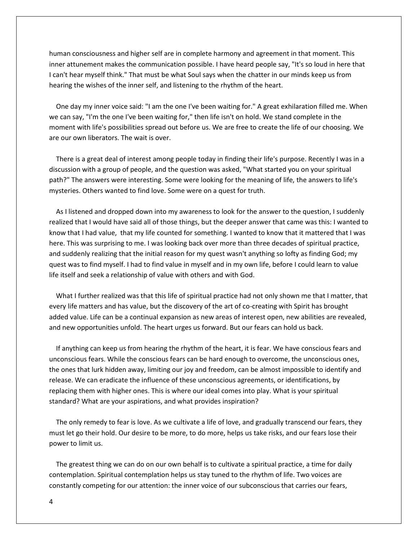human consciousness and higher self are in complete harmony and agreement in that moment. This inner attunement makes the communication possible. I have heard people say, "It's so loud in here that I can't hear myself think." That must be what Soul says when the chatter in our minds keep us from hearing the wishes of the inner self, and listening to the rhythm of the heart.

 One day my inner voice said: "I am the one I've been waiting for." A great exhilaration filled me. When we can say, "I'm the one I've been waiting for," then life isn't on hold. We stand complete in the moment with life's possibilities spread out before us. We are free to create the life of our choosing. We are our own liberators. The wait is over.

 There is a great deal of interest among people today in finding their life's purpose. Recently I was in a discussion with a group of people, and the question was asked, "What started you on your spiritual path?" The answers were interesting. Some were looking for the meaning of life, the answers to life's mysteries. Others wanted to find love. Some were on a quest for truth.

 As I listened and dropped down into my awareness to look for the answer to the question, I suddenly realized that I would have said all of those things, but the deeper answer that came was this: I wanted to know that I had value, that my life counted for something. I wanted to know that it mattered that I was here. This was surprising to me. I was looking back over more than three decades of spiritual practice, and suddenly realizing that the initial reason for my quest wasn't anything so lofty as finding God; my quest was to find myself. I had to find value in myself and in my own life, before I could learn to value life itself and seek a relationship of value with others and with God.

 What I further realized was that this life of spiritual practice had not only shown me that I matter, that every life matters and has value, but the discovery of the art of co-creating with Spirit has brought added value. Life can be a continual expansion as new areas of interest open, new abilities are revealed, and new opportunities unfold. The heart urges us forward. But our fears can hold us back.

 If anything can keep us from hearing the rhythm of the heart, it is fear. We have conscious fears and unconscious fears. While the conscious fears can be hard enough to overcome, the unconscious ones, the ones that lurk hidden away, limiting our joy and freedom, can be almost impossible to identify and release. We can eradicate the influence of these unconscious agreements, or identifications, by replacing them with higher ones. This is where our ideal comes into play. What is your spiritual standard? What are your aspirations, and what provides inspiration?

 The only remedy to fear is love. As we cultivate a life of love, and gradually transcend our fears, they must let go their hold. Our desire to be more, to do more, helps us take risks, and our fears lose their power to limit us.

 The greatest thing we can do on our own behalf is to cultivate a spiritual practice, a time for daily contemplation. Spiritual contemplation helps us stay tuned to the rhythm of life. Two voices are constantly competing for our attention: the inner voice of our subconscious that carries our fears,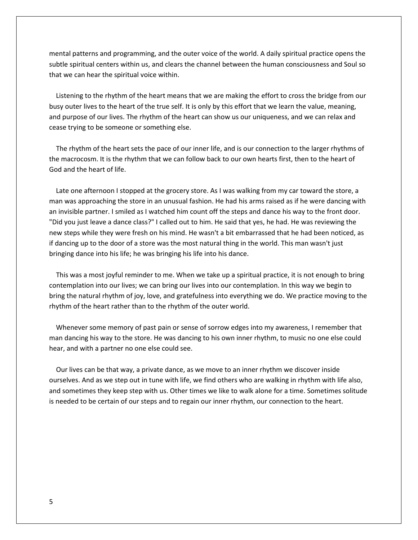mental patterns and programming, and the outer voice of the world. A daily spiritual practice opens the subtle spiritual centers within us, and clears the channel between the human consciousness and Soul so that we can hear the spiritual voice within.

 Listening to the rhythm of the heart means that we are making the effort to cross the bridge from our busy outer lives to the heart of the true self. It is only by this effort that we learn the value, meaning, and purpose of our lives. The rhythm of the heart can show us our uniqueness, and we can relax and cease trying to be someone or something else.

 The rhythm of the heart sets the pace of our inner life, and is our connection to the larger rhythms of the macrocosm. It is the rhythm that we can follow back to our own hearts first, then to the heart of God and the heart of life.

Late one afternoon I stopped at the grocery store. As I was walking from my car toward the store, a man was approaching the store in an unusual fashion. He had his arms raised as if he were dancing with an invisible partner. I smiled as I watched him count off the steps and dance his way to the front door. "Did you just leave a dance class?" I called out to him. He said that yes, he had. He was reviewing the new steps while they were fresh on his mind. He wasn't a bit embarrassed that he had been noticed, as if dancing up to the door of a store was the most natural thing in the world. This man wasn't just bringing dance into his life; he was bringing his life into his dance.

 This was a most joyful reminder to me. When we take up a spiritual practice, it is not enough to bring contemplation into our lives; we can bring our lives into our contemplation. In this way we begin to bring the natural rhythm of joy, love, and gratefulness into everything we do. We practice moving to the rhythm of the heart rather than to the rhythm of the outer world.

 Whenever some memory of past pain or sense of sorrow edges into my awareness, I remember that man dancing his way to the store. He was dancing to his own inner rhythm, to music no one else could hear, and with a partner no one else could see.

 Our lives can be that way, a private dance, as we move to an inner rhythm we discover inside ourselves. And as we step out in tune with life, we find others who are walking in rhythm with life also, and sometimes they keep step with us. Other times we like to walk alone for a time. Sometimes solitude is needed to be certain of our steps and to regain our inner rhythm, our connection to the heart.